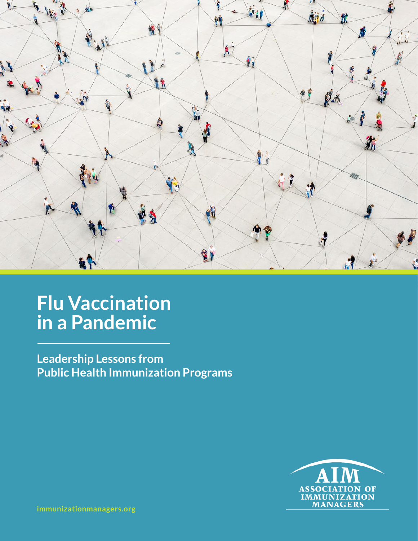

# **Flu Vaccination in a Pandemic**

**Leadership Lessons from Public Health Immunization Programs**



**[immunizationmanagers.org](http://www.immunizationmanagers.org)**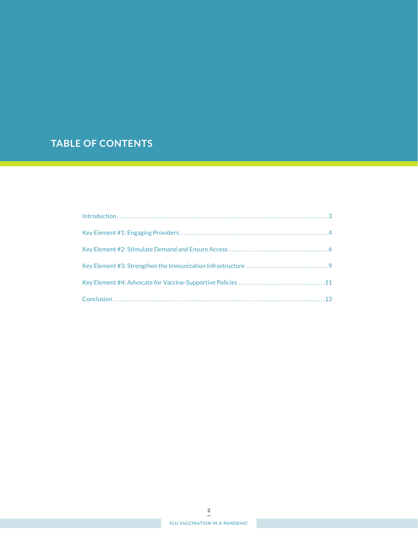## **TABLE OF CONTENTS**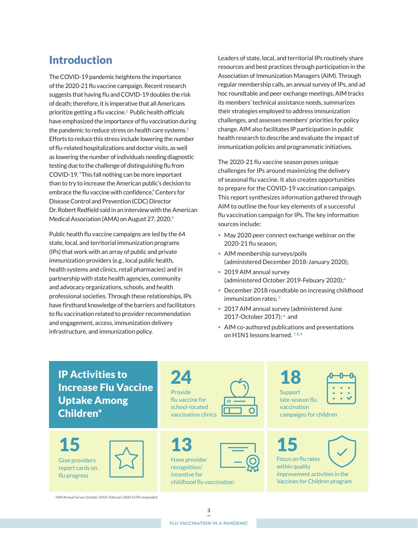## Introduction

The COVID-19 pandemic heightens the importance of the 2020-21 flu vaccine campaign. Recent research suggests that having flu and COVID-19 doubles the risk of death; therefore, it is imperative that all Americans prioritize getting a flu vaccine. **1** Public health officials have emphasized the importance of flu vaccination during the pandemic to reduce stress on health care systems. **2** Efforts to reduce this stress include lowering the number of flu-related hospitalizations and doctor visits, as well as lowering the number of individuals needing diagnostic testing due to the challenge of distinguishing flu from COVID-19. "This fall nothing can be more important than to try to increase the American public's decision to embrace the flu vaccine with confidence," Centers for Disease Control and Prevention (CDC) Director Dr. Robert Redfield said in an interview with the American Medical Association (AMA) on August 27, 2020. **3**

Public health flu vaccine campaigns are led by the 64 state, local, and territorial immunization programs (IPs) that work with an array of public and private immunization providers (e.g., local public health, health systems and clinics, retail pharmacies) and in partnership with state health agencies, community and advocacy organizations, schools, and health professional societies. Through these relationships, IPs have firsthand knowledge of the barriers and facilitators to flu vaccination related to provider recommendation and engagement, access, immunization delivery infrastructure, and immunization policy.

Leaders of state, local, and territorial IPs routinely share resources and best practices through participation in the Association of Immunization Managers (AIM). Through regular membership calls, an annual survey of IPs, and ad hoc roundtable and peer exchange meetings, AIM tracks its members' technical assistance needs, summarizes their strategies employed to address immunization challenges, and assesses members' priorities for policy change. AIM also facilitates IP participation in public health research to describe and evaluate the impact of immunization policies and programmatic initiatives.

The 2020-21 flu vaccine season poses unique challenges for IPs around maximizing the delivery of seasonal flu vaccine. It also creates opportunities to prepare for the COVID-19 vaccination campaign. This report synthesizes information gathered through AIM to outline the four key elements of a successful flu vaccination campaign for IPs. The key information sources include:

- May 2020 peer connect exchange webinar on the 2020-21 flu season;
- AIM membership surveys/polls (administered December 2018-January 2020);
- 2019 AIM annual survey (administered October 2019-Febuary 2020);**<sup>4</sup>**
- December 2018 roundtable on increasing childhood immunization rates; **<sup>5</sup>**
- 2017 AIM annual survey (administered June 2017-October 2017); **6** and
- **AIM co-authored publications and presentations** on H1N1 lessons learned.<sup>7,8,9</sup>

## IP Activities to Increase Flu Vaccine Uptake Among Children\*

Give providers report cards on flu progress



 $24 \rightarrow 18$ Provide flu vaccine for school-located vaccination clinics

Have provider recognition/ incentive for 15  $\boxed{)}$  13  $\boxed{=}$  15



childhood flu vaccination





vaccination campaigns for children

| ocus on flu rates |  |  |
|-------------------|--|--|



Focus on flu rates within quality improvement activities in the Vaccines for Children program

\*AIM Annual Survey October 2019–February 2020 53 IPs responded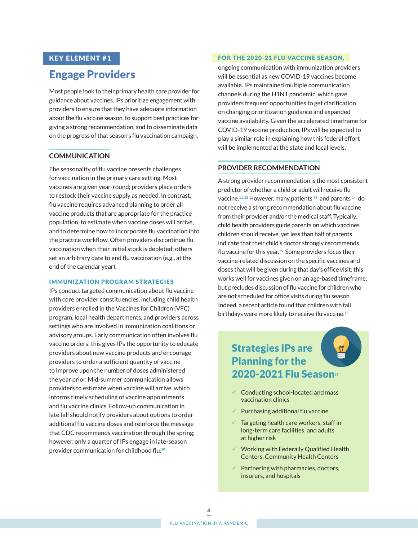## KEY ELEMENT #1

## Engage Providers

Most people look to their primary health care provider for guidance about vaccines. IPs prioritize engagement with providers to ensure that they have adequate information about the flu vaccine season, to support best practices for giving a strong recommendation, and to disseminate data on the progress of that season's flu vaccination campaign.

## **COMMUNICATION**

The seasonality of flu vaccine presents challenges for vaccination in the primary care setting. Most vaccines are given year-round; providers place orders to restock their vaccine supply as needed. In contrast, flu vaccine requires advanced planning to order all vaccine products that are appropriate for the practice population, to estimate when vaccine doses will arrive, and to determine how to incorporate flu vaccination into the practice workflow. Often providers discontinue flu vaccination when their initial stock is depleted; others set an arbitrary date to end flu vaccination (e.g., at the end of the calendar year).

### IMMUNIZATION PROGRAM STRATEGIES

IPs conduct targeted communication about flu vaccine with core provider constituencies, including child health providers enrolled in the Vaccines for Children (VFC) program, local health departments, and providers across settings who are involved in immunization coalitions or advisory groups. Early communication often involves flu vaccine orders; this gives IPs the opportunity to educate providers about new vaccine products and encourage providers to order a sufficient quantity of vaccine to improve upon the number of doses administered the year prior. Mid-summer communication allows providers to estimate when vaccine will arrive, which informs timely scheduling of vaccine appointments and flu vaccine clinics. Follow-up communication in late fall should notify providers about options to order additional flu vaccine doses and reinforce the message that CDC recommends vaccination through the spring; however, only a quarter of IPs engage in late-season provider communication for childhood flu. **10**

#### FOR THE 2020-21 FLU VACCINE SEASON,

ongoing communication with immunization providers will be essential as new COVID-19 vaccines become available. IPs maintained multiple communication channels during the H1N1 pandemic, which gave providers frequent opportunities to get clarification on changing prioritization guidance and expanded vaccine availability. Given the accelerated timeframe for COVID-19 vaccine production, IPs will be expected to play a similar role in explaining how this federal effort will be implemented at the state and local levels.

### **PROVIDER RECOMMENDATION**

A strong provider recommendation is the most consistent predictor of whether a child or adult will receive flu vaccine. **11, 12** However, many patients **13** and parents **14** do not receive a strong recommendation about flu vaccine from their provider and/or the medical staff. Typically, child health providers guide parents on which vaccines children should receive, yet less than half of parents indicate that their child's doctor strongly recommends flu vaccine for this year. **<sup>15</sup>** Some providers focus their vaccine-related discussion on the specific vaccines and doses that will be given during that day's office visit; this works well for vaccines given on an age-based timeframe, but precludes discussion of flu vaccine for children who are not scheduled for office visits during flu season. Indeed, a recent article found that children with fall birthdays were more likely to receive flu vaccine. **16**

## Strategies IPs are Planning for the 2020-2021 Flu Season**<sup>17</sup>**

- $\checkmark$  Conducting school-located and mass vaccination clinics
- 3 Purchasing additional flu vaccine
- $\sqrt{ }$  Targeting health care workers, staff in long-term care facilities, and adults at higher risk
- $\checkmark$  Working with Federally Qualified Health Centers, Community Health Centers
- $\sqrt{ }$  Partnering with pharmacies, doctors, insurers, and hospitals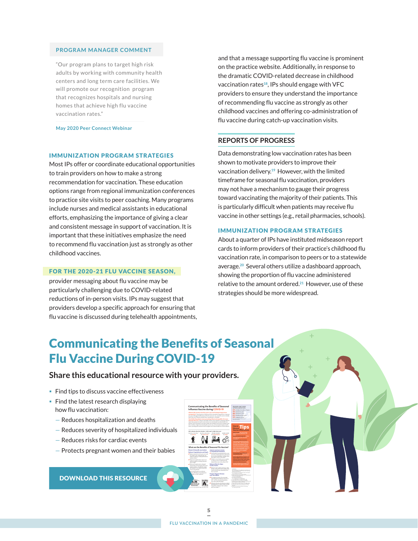### **PROGRAM MANAGER COMMENT**

"Our program plans to target high risk adults by working with community health centers and long term care facilities. We will promote our recognition program that recognizes hospitals and nursing homes that achieve high flu vaccine vaccination rates."

**May 2020 Peer Connect Webinar**

### IMMUNIZATION PROGRAM STRATEGIES

Most IPs offer or coordinate educational opportunities to train providers on how to make a strong recommendation for vaccination. These education options range from regional immunization conferences to practice site visits to peer coaching. Many programs include nurses and medical assistants in educational efforts, emphasizing the importance of giving a clear and consistent message in support of vaccination. It is important that these initiatives emphasize the need to recommend flu vaccination just as strongly as other childhood vaccines.

#### FOR THE 2020-21 FLU VACCINE SEASON,

provider messaging about flu vaccine may be particularly challenging due to COVID-related reductions of in-person visits. IPs may suggest that providers develop a specific approach for ensuring that flu vaccine is discussed during telehealth appointments, and that a message supporting flu vaccine is prominent on the practice website. Additionally, in response to the dramatic COVID-related decrease in childhood vaccination rates**18**, IPs should engage with VFC providers to ensure they understand the importance of recommending flu vaccine as strongly as other childhood vaccines and offering co-administration of flu vaccine during catch-up vaccination visits.

#### **REPORTS OF PROGRESS**

Data demonstrating low vaccination rates has been shown to motivate providers to improve their vaccination delivery. **<sup>19</sup>** However, with the limited timeframe for seasonal flu vaccination, providers may not have a mechanism to gauge their progress toward vaccinating the majority of their patients. This is particularly difficult when patients may receive flu vaccine in other settings (e.g., retail pharmacies, schools).

#### IMMUNIZATION PROGRAM STRATEGIES

About a quarter of IPs have instituted midseason report cards to inform providers of their practice's childhood flu vaccination rate, in comparison to peers or to a statewide average. **<sup>20</sup>** Several others utilize a dashboard approach, showing the proportion of flu vaccine administered relative to the amount ordered. **<sup>21</sup>** However, use of these strategies should be more widespread.

## Communicating the Benefits of Seasonal Flu Vaccine During COVID-19

## **Share this educational resource with your providers.**

- Find tips to discuss vaccine effectiveness
- $\blacksquare$  Find the latest research displaying how flu vaccination:
	- Reduces hospitalization and deaths
	- Reduces severity of hospitalized individuals
	- Reduces risks for cardiac events
	- Protects pregnant women and their babies

[DOWNLOAD THIS RESOURCE](https://drive.google.com/file/d/1LjuIJog_rYuv-CU2NkSWJM4Y_VcNlBEM/view?usp=sharing)

lowers the risk of influenza-related illness, hospitalization, and death.<sup>1</sup> means fewer people will need to seek medical care and testing for possible COVID-19 or

*CDC estimates that, from October 1, 2019–April 4, 2020, there were:* 39 million–56 million

**What are the Benefits of Seasonal Flu Vaccine?**

**Reduces Severity of Illness in Hospitalized Individuals**  ✔ Children's risk of admission to a pediat-**Reduces Risks for Major Cardiac Events**  ✔ Risk of a major cardiac event (e.g., heart **Protects Pregnant Women and Their Babies** ✔For pregnant women, flu-associated of age fell by half when their mothers were vaccinated to

**Research shows flu vaccination: Reduces Hospitalization and Death** for children with underlying high-risk ✔Influenza hospitalizations were cut in ✔ Vaccinating long-term care facility (LTCF) staff reduces hospitalizations and deaths in LTCF residents<sup>1</sup>

**[Communicating the Benefits of Seasonal](https://drive.google.com/file/d/1LjuIJog_rYuv-CU2NkSWJM4Y_VcNlBEM/view?usp=sharing)  Influenza Vaccine during COVID-19** 63% children from the 17 years

> 45% adults 18+ years 68% adults 65+ years 54% pregnant women

**How to Discuss Vaccine Effectiveness** • **Keep it simple: "Flu vaccine helps**  • **Use a presumptive approach: "Today** 

Tips

**unpredictability of flu: "This is why it is breaks occur almost every year. "The** 

**footnotes**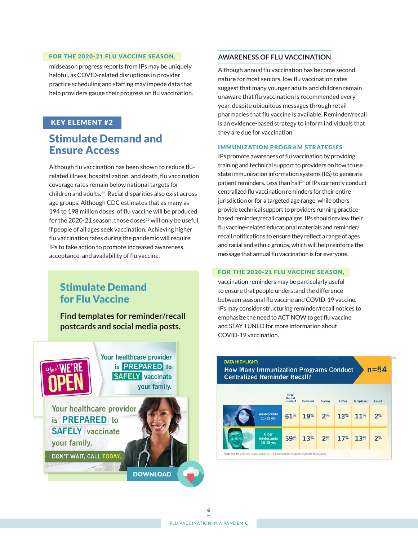### FOR THE 2020-21 FLU VACCINE SEASON,

midseason progress reports from IPs may be uniquely helpful, as COVID-related disruptions in provider practice scheduling and staffing may impede data that help providers gauge their progress on flu vaccination.

## KEY ELEMENT #2

## Stimulate Demand and Ensure Access

Although flu vaccination has been shown to reduce flurelated illness, hospitalization, and death, flu vaccination coverage rates remain below national targets for children and adults. **<sup>22</sup>** Racial disparities also exist across age groups. Although CDC estimates that as many as 194 to 198 million doses of flu vaccine will be produced for the 2020-21 season, those doses**23** will only be useful if people of all ages seek vaccination. Achieving higher flu vaccination rates during the pandemic will require IPs to take action to promote increased awareness, acceptance, and availability of flu vaccine.

## Stimulate Demand for Flu Vaccine

**[Find templates for reminder/recall](www.immunizationmanagers.org/VaccineConfidenceMediaMaterials)  postcards and social media posts.**



## **AWARENESS OF FLU VACCINATION**

Although annual flu vaccination has become second nature for most seniors, low flu vaccination rates suggest that many younger adults and children remain unaware that flu vaccination is recommended every year, despite ubiquitous messages through retail pharmacies that flu vaccine is available. Reminder/recall is an evidence-based strategy to inform individuals that they are due for vaccination.

#### IMMUNIZATION PROGRAM STRATEGIES

IPs promote awareness of flu vaccination by providing training and technical support to providers on how to use state immunization information systems (IIS) to generate patient reminders. Less than half**24** of IPs currently conduct centralized flu vaccination reminders for their entire jurisdiction or for a targeted age range, while others provide technical support to providers running practicebased reminder/recall campaigns. IPs should review their flu vaccine-related educational materials and reminder/ recall notifications to ensure they reflect a range of ages and racial and ethnic groups, which will help reinforce the message that annual flu vaccination is for everyone.

### FOR THE 2020-21 FLU VACCINE SEASON,

vaccination reminders may be particularly useful to ensure that people understand the difference between seasonal flu vaccine and COVID-19 vaccine. IPs may consider structuring reminder/recall notices to emphasize the need to ACT NOW to get flu vaccine and STAY TUNED for more information about COVID-19 vaccination.

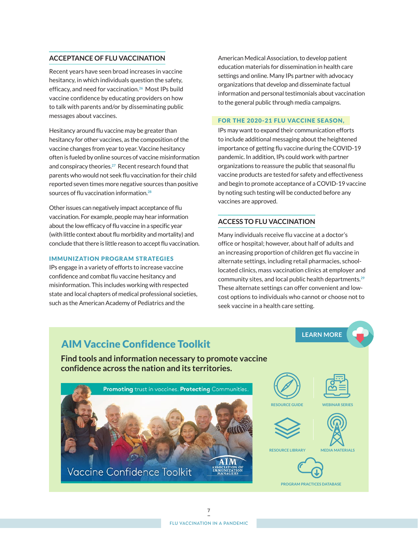## **ACCEPTANCE OF FLU VACCINATION**

Recent years have seen broad increases in vaccine hesitancy, in which individuals question the safety, efficacy, and need for vaccination. **<sup>26</sup>** Most IPs build vaccine confidence by educating providers on how to talk with parents and/or by disseminating public messages about vaccines.

Hesitancy around flu vaccine may be greater than hesitancy for other vaccines, as the composition of the vaccine changes from year to year. Vaccine hesitancy often is fueled by online sources of vaccine misinformation and conspiracy theories. **<sup>27</sup>** Recent research found that parents who would not seek flu vaccination for their child reported seven times more negative sources than positive sources of flu vaccination information. **28**

Other issues can negatively impact acceptance of flu vaccination. For example, people may hear information about the low efficacy of flu vaccine in a specific year (with little context about flu morbidity and mortality) and conclude that there is little reason to accept flu vaccination.

### IMMUNIZATION PROGRAM STRATEGIES

IPs engage in a variety of efforts to increase vaccine confidence and combat flu vaccine hesitancy and misinformation. This includes working with respected state and local chapters of medical professional societies, such as the American Academy of Pediatrics and the

American Medical Association, to develop patient education materials for dissemination in health care settings and online. Many IPs partner with advocacy organizations that develop and disseminate factual information and personal testimonials about vaccination to the general public through media campaigns.

#### FOR THE 2020-21 FLU VACCINE SEASON,

IPs may want to expand their communication efforts to include additional messaging about the heightened importance of getting flu vaccine during the COVID-19 pandemic. In addition, IPs could work with partner organizations to reassure the public that seasonal flu vaccine products are tested for safety and effectiveness and begin to promote acceptance of a COVID-19 vaccine by noting such testing will be conducted before any vaccines are approved.

### **ACCESS TO FLU VACCINATION**

Many individuals receive flu vaccine at a doctor's office or hospital; however, about half of adults and an increasing proportion of children get flu vaccine in alternate settings, including retail pharmacies, schoollocated clinics, mass vaccination clinics at employer and community sites, and local public health departments. **29** These alternate settings can offer convenient and lowcost options to individuals who cannot or choose not to seek vaccine in a health care setting.

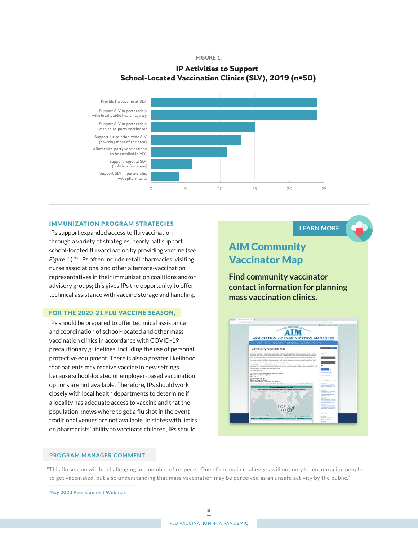#### FIGURE 1.

## **IP Activities to Support School-Located Vaccination Clinics (SLV), 2019 (n=50)**



#### IMMUNIZATION PROGRAM STRATEGIES

IPs support expanded access to flu vaccination through a variety of strategies; nearly half support school-located flu vaccination by providing vaccine (s*ee Figure 1*.). **<sup>30</sup>** IPs often include retail pharmacies, visiting nurse associations, and other alternate-vaccination representatives in their immunization coalitions and/or advisory groups; this gives IPs the opportunity to offer technical assistance with vaccine storage and handling.

#### FOR THE 2020-21 FLU VACCINE SEASON,

IPs should be prepared to offer technical assistance and coordination of school-located and other mass vaccination clinics in accordance with COVID-19 precautionary guidelines, including the use of personal protective equipment. There is also a greater likelihood that patients may receive vaccine in new settings because school-located or employer-based vaccination options are not available. Therefore, IPs should work closely with local health departments to determine if a locality has adequate access to vaccine and that the population knows where to get a flu shot in the event traditional venues are not available. In states with limits on pharmacists' ability to vaccinate children, IPs should

**LEARN MORE**

## AIM Community Vaccinator Map

**Find community vaccinator [contact information for planning](https://www.immunizationmanagers.org/communityvaccinatormap)  mass vaccination clinics.**



#### **PROGRAM MANAGER COMMENT**

"This flu season will be challenging in a number of respects. One of the main challenges will not only be encouraging people to get vaccinated, but also understanding that mass vaccination may be perceived as an unsafe activity by the public."

**May 2020 Peer Connect Webinar**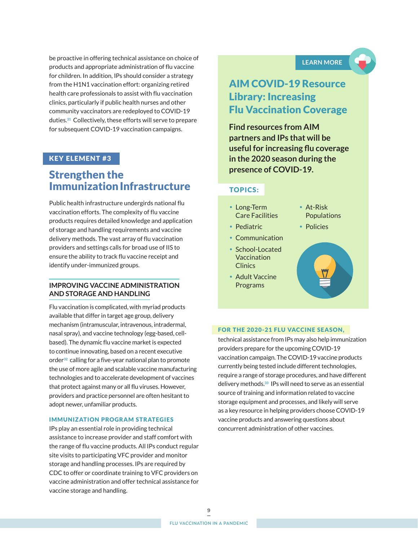be proactive in offering technical assistance on choice of products and appropriate administration of flu vaccine for children. In addition, IPs should consider a strategy from the H1N1 vaccination effort: organizing retired health care professionals to assist with flu vaccination clinics, particularly if public health nurses and other community vaccinators are redeployed to COVID-19 duties. **<sup>31</sup>** Collectively, these efforts will serve to prepare for subsequent COVID-19 vaccination campaigns.

## KEY ELEMENT #3

## Strengthen the Immunization Infrastructure

Public health infrastructure undergirds national flu vaccination efforts. The complexity of flu vaccine products requires detailed knowledge and application of storage and handling requirements and vaccine delivery methods. The vast array of flu vaccination providers and settings calls for broad use of IIS to ensure the ability to track flu vaccine receipt and identify under-immunized groups.

## **IMPROVING VACCINE ADMINISTRATION AND STORAGE AND HANDLING**

Flu vaccination is complicated, with myriad products available that differ in target age group, delivery mechanism (intramuscular, intravenous, intradermal, nasal spray), and vaccine technology (egg-based, cellbased). The dynamic flu vaccine market is expected to continue innovating, based on a recent executive order**32** calling for a five-year national plan to promote the use of more agile and scalable vaccine manufacturing technologies and to accelerate development of vaccines that protect against many or all flu viruses. However, providers and practice personnel are often hesitant to adopt newer, unfamiliar products.

### IMMUNIZATION PROGRAM STRATEGIES

IPs play an essential role in providing technical assistance to increase provider and staff comfort with the range of flu vaccine products. All IPs conduct regular site visits to participating VFC provider and monitor storage and handling processes. IPs are required by CDC to offer or coordinate training to VFC providers on vaccine administration and offer technical assistance for vaccine storage and handling.

**LEARN MORE**

## [AIM COVID-19 Resource](https://www.immunizationmanagers.org/covid19influenza)  Library: Increasing Flu Vaccination Coverage

**Find resources from AIM partners and IPs that will be useful for increasing flu coverage in the 2020 season during the presence of COVID-19.**

## TOPICS:

- Long-Term Care Facilities
- Pediatric
- Communication
- School-Located Vaccination **Clinics**
- Adult Vaccine Programs
- At-Risk Populations
- Policies



#### FOR THE 2020-21 FLU VACCINE SEASON,

technical assistance from IPs may also help immunization providers prepare for the upcoming COVID-19 vaccination campaign. The COVID-19 vaccine products currently being tested include different technologies, require a range of storage procedures, and have different delivery methods. **<sup>33</sup>** IPs will need to serve as an essential source of training and information related to vaccine storage equipment and processes, and likely will serve as a key resource in helping providers choose COVID-19 vaccine products and answering questions about concurrent administration of other vaccines.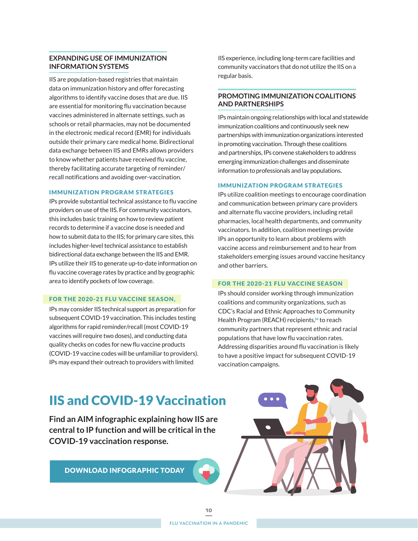## **EXPANDING USE OF IMMUNIZATION INFORMATION SYSTEMS**

IIS are population-based registries that maintain data on immunization history and offer forecasting algorithms to identify vaccine doses that are due. IIS are essential for monitoring flu vaccination because vaccines administered in alternate settings, such as schools or retail pharmacies, may not be documented in the electronic medical record (EMR) for individuals outside their primary care medical home. Bidirectional data exchange between IIS and EMRs allows providers to know whether patients have received flu vaccine, thereby facilitating accurate targeting of reminder/ recall notifications and avoiding over-vaccination.

### IMMUNIZATION PROGRAM STRATEGIES

IPs provide substantial technical assistance to flu vaccine providers on use of the IIS. For community vaccinators, this includes basic training on how to review patient records to determine if a vaccine dose is needed and how to submit data to the IIS; for primary care sites, this includes higher-level technical assistance to establish bidirectional data exchange between the IIS and EMR. IPs utilize their IIS to generate up-to-date information on flu vaccine coverage rates by practice and by geographic area to identify pockets of low coverage.

#### FOR THE 2020-21 FLU VACCINE SEASON,

IPs may consider IIS technical support as preparation for subsequent COVID-19 vaccination. This includes testing algorithms for rapid reminder/recall (most COVID-19 vaccines will require two doses), and conducting data quality checks on codes for new flu vaccine products (COVID-19 vaccine codes will be unfamiliar to providers). IPs may expand their outreach to providers with limited

IIS experience, including long-term care facilities and community vaccinators that do not utilize the IIS on a regular basis.

## **PROMOTING IMMUNIZATION COALITIONS AND PARTNERSHIPS**

IPs maintain ongoing relationships with local and statewide immunization coalitions and continuously seek new partnerships with immunization organizations interested in promoting vaccination. Through these coalitions and partnerships, IPs convene stakeholders to address emerging immunization challenges and disseminate information to professionals and lay populations.

#### IMMUNIZATION PROGRAM STRATEGIES

IPs utilize coalition meetings to encourage coordination and communication between primary care providers and alternate flu vaccine providers, including retail pharmacies, local health departments, and community vaccinators. In addition, coalition meetings provide IPs an opportunity to learn about problems with vaccine access and reimbursement and to hear from stakeholders emerging issues around vaccine hesitancy and other barriers.

### FOR THE 2020-21 FLU VACCINE SEASON

IPs should consider working through immunization coalitions and community organizations, such as CDC's Racial and Ethnic Approaches to Community Health Program (REACH) recipients,**34** to reach community partners that represent ethnic and racial populations that have low flu vaccination rates. Addressing disparities around flu vaccination is likely to have a positive impact for subsequent COVID-19 vaccination campaigns.

## IIS and COVID-19 Vaccination

**Find an AIM infographic explaining how IIS are central to IP function and will be critical in the COVID-19 vaccination response.**

[DOWNLOAD INFOGRAPHIC TODAY](https://drive.google.com/file/d/1wayRgzINKf9lqxOBW2IyIrGeRfm3D8dh/view?usp=sharing)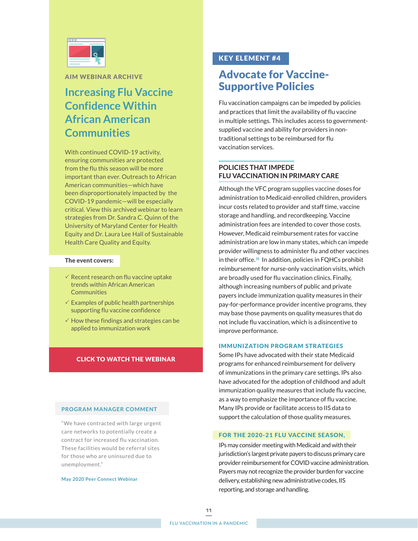

AIM WEBINAR ARCHIVE

## **Increasing Flu Vaccine Confidence Within African American Communities**

With continued COVID-19 activity, ensuring communities are protected from the flu this season will be more important than ever. Outreach to African American communities—which have been disproportionately impacted by the COVID-19 pandemic—will be especially critical. View this archived webinar to learn strategies from Dr. Sandra C. Quinn of the University of Maryland Center for Health Equity and Dr. Laura Lee Hall of Sustainable Health Care Quality and Equity.

### The event covers:

- $\checkmark$  Recent research on flu vaccine uptake trends within African American **Communities**
- $\checkmark$  Examples of public health partnerships supporting flu vaccine confidence
- $\checkmark$  How these findings and strategies can be applied to immunization work

### [CLICK TO WATCH THE WEBINAR](https://www.immunizationmanagers.org/page/vaccineconfidencewebinar)

### **PROGRAM MANAGER COMMENT**

"We have contracted with large urgent care networks to potentially create a contract for increased flu vaccination. These facilities would be referral sites for those who are uninsured due to unemployment."

**May 2020 Peer Connect Webinar**

## KEY ELEMENT #4

## Advocate for Vaccine-Supportive Policies

Flu vaccination campaigns can be impeded by policies and practices that limit the availability of flu vaccine in multiple settings. This includes access to governmentsupplied vaccine and ability for providers in nontraditional settings to be reimbursed for flu vaccination services.

## **POLICIES THAT IMPEDE FLU VACCINATION IN PRIMARY CARE**

Although the VFC program supplies vaccine doses for administration to Medicaid-enrolled children, providers incur costs related to provider and staff time, vaccine storage and handling, and recordkeeping. Vaccine administration fees are intended to cover those costs. However, Medicaid reimbursement rates for vaccine administration are low in many states, which can impede provider willingness to administer flu and other vaccines in their office. **<sup>35</sup>** In addition, policies in FQHCs prohibit reimbursement for nurse-only vaccination visits, which are broadly used for flu vaccination clinics. Finally, although increasing numbers of public and private payers include immunization quality measures in their pay-for-performance provider incentive programs, they may base those payments on quality measures that do not include flu vaccination, which is a disincentive to improve performance.

### IMMUNIZATION PROGRAM STRATEGIES

Some IPs have advocated with their state Medicaid programs for enhanced reimbursement for delivery of immunizations in the primary care settings. IPs also have advocated for the adoption of childhood and adult immunization quality measures that include flu vaccine, as a way to emphasize the importance of flu vaccine. Many IPs provide or facilitate access to IIS data to support the calculation of those quality measures.

### FOR THE 2020-21 FLU VACCINE SEASON,

IPs may consider meeting with Medicaid and with their jurisdiction's largest private payers to discuss primary care provider reimbursement for COVID vaccine administration. Payers may not recognize the provider burden for vaccine delivery, establishing new administrative codes, IIS reporting, and storage and handling.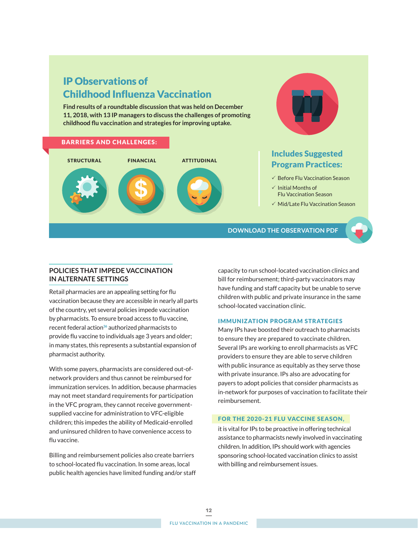## IP Observations of Childhood Influenza Vaccination

**Find results of a roundtable discussion that was held on December 11, 2018, with 13 IP managers to discuss the challenges of promoting childhood flu vaccination and strategies for improving uptake.**



## Includes Suggested Program Practices:

- $\checkmark$  Before Flu Vaccination Season
- $\checkmark$  Initial Months of Flu Vaccination Season
- $\checkmark$  Mid/Late Flu Vaccination Season

**[DOWNLOAD THE OBSERVATION PDF](https://drive.google.com/file/d/1ecpfVLgu35uc-6dVZyk6koO757T__vcn/view?usp=sharing)**

## **POLICIES THAT IMPEDE VACCINATION IN ALTERNATE SETTINGS**

Retail pharmacies are an appealing setting for flu vaccination because they are accessible in nearly all parts of the country, yet several policies impede vaccination by pharmacists. To ensure broad access to flu vaccine, recent federal action**36** authorized pharmacists to provide flu vaccine to individuals age 3 years and older; in many states, this represents a substantial expansion of pharmacist authority.

With some payers, pharmacists are considered out-ofnetwork providers and thus cannot be reimbursed for immunization services. In addition, because pharmacies may not meet standard requirements for participation in the VFC program, they cannot receive governmentsupplied vaccine for administration to VFC-eligible children; this impedes the ability of Medicaid-enrolled and uninsured children to have convenience access to flu vaccine.

Billing and reimbursement policies also create barriers to school-located flu vaccination. In some areas, local public health agencies have limited funding and/or staff

capacity to run school-located vaccination clinics and bill for reimbursement; third-party vaccinators may have funding and staff capacity but be unable to serve children with public and private insurance in the same school-located vaccination clinic.

### IMMUNIZATION PROGRAM STRATEGIES

Many IPs have boosted their outreach to pharmacists to ensure they are prepared to vaccinate children. Several IPs are working to enroll pharmacists as VFC providers to ensure they are able to serve children with public insurance as equitably as they serve those with private insurance. IPs also are advocating for payers to adopt policies that consider pharmacists as in-network for purposes of vaccination to facilitate their reimbursement.

### FOR THE 2020-21 FLU VACCINE SEASON,

it is vital for IPs to be proactive in offering technical assistance to pharmacists newly involved in vaccinating children. In addition, IPs should work with agencies sponsoring school-located vaccination clinics to assist with billing and reimbursement issues.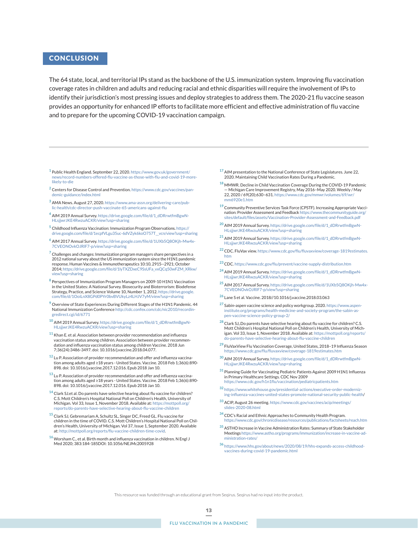## **CONCLUSION**

The 64 state, local, and territorial IPs stand as the backbone of the U.S. immunization system. Improving flu vaccination coverage rates in children and adults and reducing racial and ethnic disparities will require the involvement of IPs to identify their jurisdiction's most pressing issues and deploy strategies to address them. The 2020-21 flu vaccine season provides an opportunity for enhanced IP efforts to facilitate more efficient and effective administration of flu vaccine and to prepare for the upcoming COVID-19 vaccination campaign.

- **<sup>1</sup>** Public Health England. September 22, 2020. [https://www.gov.uk/government/](https://www.gov.uk/government/news/record-numbers-offered-flu-vaccine-as-those-with-flu-and-covid-19-more-likely-to-die) ews/record-numbers-offered-flu-vaccine-as-those-with-flu-and-covid-19-more[likely-to-die](https://www.gov.uk/government/news/record-numbers-offered-flu-vaccine-as-those-with-flu-and-covid-19-more-likely-to-die)
- **<sup>2</sup>** Centers for Disease Control and Prevention. [https://www.cdc.gov/vaccines/pan](https://www.cdc.gov/vaccines/pandemic-guidance/index.html)[demic-guidance/index.html](https://www.cdc.gov/vaccines/pandemic-guidance/index.html)
- **<sup>3</sup>** AMA News. August 27, 2020. [https://www.ama-assn.org/delivering-care/pub](https://www.ama-assn.org/delivering-care/public-health/cdc-director-push-vaccinate-65-americans-against-flu)[lic-health/cdc-director-push-vaccinate-65-americans-against-flu](https://www.ama-assn.org/delivering-care/public-health/cdc-director-push-vaccinate-65-americans-against-flu)
- **<sup>4</sup>** AIM 2019 Annual Survey. [https://drive.google.com/file/d/1\\_dDRrwtfmBgwN-](https://drive.google.com/file/d/1_dDRrwtfmBgwNHLsjjwrJKE4RwzuACKR/view?usp=sharinghttp://)[HLsjjwrJKE4RwzuACKR/view?usp=sharing](https://drive.google.com/file/d/1_dDRrwtfmBgwNHLsjjwrJKE4RwzuACKR/view?usp=sharinghttp://)
- **<sup>5</sup>** Childhood Influenza Vaccination: Immunization Program Observations. [https://](https://drive.google.com/file/d/1ecpfVLgu35uc-6dVZyk6koO757T__vcn/view?usp=sharing
) [drive.google.com/file/d/1ecpfVLgu35uc-6dVZyk6koO757T\\_\\_vcn/view?usp=sharing](https://drive.google.com/file/d/1ecpfVLgu35uc-6dVZyk6koO757T__vcn/view?usp=sharing
)
- **<sup>6</sup>** AIM 2017 Annual Survey. [https://drive.google.com/file/d/1UXb5Q8OKjh-Mw4x-](https://drive.google.com/file/d/1UXb5Q8OKjh-Mw4x7CVEONOvkOJRlF7-p/view?usp=sharing)[7CVEONOvkOJRlF7-p/view?usp=sharing](https://drive.google.com/file/d/1UXb5Q8OKjh-Mw4x7CVEONOvkOJRlF7-p/view?usp=sharing)
- **<sup>7</sup>** Challenges and changes: Immunization program managers share perspectives in a 2012 national survey about the US immunization system since the H1N1 pandemic response. Human Vaccines & Immunotherapeutics 10:10, 2915--2921; October 2014; [https://drive.google.com/file/d/1lyTXZDxeC9SsUFa\\_vxQCq50wFZM\\_XRkw/](https://drive.google.com/file/d/1lyTXZDxeC9SsUFa_vxQCq50wFZM_XRkw/view?usp=sharing) w?usp=sharing
- **<sup>8</sup>** Perspectives of Immunization Program Managers on 2009-10 H1N1 Vaccination in the United States: A National Survey. Biosecurity and Bioterrorism: Biodefense Strategy, Practice, and Science Volume 10, Number 1, 2012. [https://drive.google.](https://drive.google.com/file/d/1OoiLnX8GPd0PYr0bvBVUkyLz4LHJV7yM/view?usp=sharing) [com/file/d/1OoiLnX8GPd0PYr0bvBVUkyLz4LHJV7yM/view?usp=sharing](https://drive.google.com/file/d/1OoiLnX8GPd0PYr0bvBVUkyLz4LHJV7yM/view?usp=sharing)
- **<sup>9</sup>** Overview of State Experiences During Different Stages of the H1N1 Pandemic. 44 National Immunization Conference [http://cdc.confex.com/cdc/nic2010/recordin](http://cdc.confex.com/cdc/nic2010/recordingredirect.cgi/id/6771)[gredirect.cgi/id/6771](http://cdc.confex.com/cdc/nic2010/recordingredirect.cgi/id/6771)
- **<sup>10</sup>** AIM 2019 Annual Survey. [https://drive.google.com/file/d/1\\_dDRrwtfmBgwN-](https://drive.google.com/file/d/1_dDRrwtfmBgwNHLsjjwrJKE4RwzuACKR/view?usp=sharing)[HLsjjwrJKE4RwzuACKR/view?usp=sharing](https://drive.google.com/file/d/1_dDRrwtfmBgwNHLsjjwrJKE4RwzuACKR/view?usp=sharing)
- **<sup>11</sup>** Khan E. et al. Association between provider recommendation and influenza vaccination status among children. Association between provider recommendation and influenza vaccination status among children Vaccine. 2018 Jun 7;36(24):3486-3497. doi: 10.1016/j.vaccine.2018.04.077.
- **<sup>12</sup>** Lu P. Association of provider recommendation and offer and influenza vaccination among adults aged ≥18 years - United States. Vaccine. 2018 Feb 1;36(6):890- 898. doi: 10.1016/j.vaccine.2017.12.016. Epub 2018 Jan 10.
- **<sup>13</sup>** Lu P. Association of provider recommendation and offer and influenza vaccination among adults aged ≥18 years - United States. Vaccine. 2018 Feb 1;36(6):890- 898. doi: 10.1016/j.vaccine.2017.12.016. Epub 2018 Jan 10.
- **<sup>14</sup>** Clark SJ.et al. Do parents have selective hearing about flu vaccine for children? C.S. Mott Children's Hospital National Poll on Children's Health, University of Michigan. Vol 33, Issue 1, November 2018. Available at: [https://mottpoll.org/](https://mottpoll.org/reports/do-parents-have-selective-hearing-about-flu-vaccine-children) [reports/do-parents-have-selective-hearing-about-flu-vaccine-children](https://mottpoll.org/reports/do-parents-have-selective-hearing-about-flu-vaccine-children)
- **<sup>15</sup>** Clark SJ, Gebremariam A, Schultz SL, Singer DC, Freed GL. Flu vaccine for children in the time of COVID. C.S. Mott Children's Hospital National Poll on Children's Health, University of Michigan. Vol 37, Issue 1, September 2020. Available at: [http://mottpoll.org/reports/flu-vaccine-children-time-covid.](http://mottpoll.org/reports/flu-vaccine-children-time-covid)
- **<sup>16</sup>** Worsham C., et al. Birth month and influenza vaccination in children. N Engl J Med 2020; 383:184-185DOI: 10.1056/NEJMc2005928
- **<sup>17</sup>** AIM presentation to the National Conference of State Legislatures. June 22, 2020. Maintaining Child Vaccination Rates During a Pandemic.
- **<sup>18</sup>** MMWR. Decline in Child Vaccination Coverage During the COVID-19 Pandemic — Michigan Care Improvement Registry, May 2016–May 2020. Weekly / May 22, 2020 / 69(20);630–631. [https://www.cdc.gov/mmwr/volumes/69/wr/](https://www.cdc.gov/mmwr/volumes/69/wr/mm6920e1.htm) [mm6920e1.htm](https://www.cdc.gov/mmwr/volumes/69/wr/mm6920e1.htm)
- **<sup>19</sup>** Community Preventive Services Task Force (CPSTF). Increasing Appropriate Vaccination: Provider Assessment and Feedback [https://www.thecommunityguide.org/](https://www.thecommunityguide.org/sites/default/files/assets/Vaccination-Provider-Assessment-and-Feedback.pdf) [sites/default/files/assets/Vaccination-Provider-Assessment-and-Feedback.pdf](https://www.thecommunityguide.org/sites/default/files/assets/Vaccination-Provider-Assessment-and-Feedback.pdf)
- **<sup>20</sup>** AIM 2019 Annual Survey. [https://drive.google.com/file/d/1\\_dDRrwtfmBgwN-](https://drive.google.com/file/d/1_dDRrwtfmBgwNHLsjjwrJKE4RwzuACKR/view?usp=sharing)LsjjwrJKE4RwzuACKR/view?usp=sharing
- **<sup>21</sup>** AIM 2019 Annual Survey. [https://drive.google.com/file/d/1\\_dDRrwtfmBgwN-](https://drive.google.com/file/d/1_dDRrwtfmBgwNHLsjjwrJKE4RwzuACKR/view?usp=sharing)[HLsjjwrJKE4RwzuACKR/view?usp=sharing](https://drive.google.com/file/d/1_dDRrwtfmBgwNHLsjjwrJKE4RwzuACKR/view?usp=sharing)
- **<sup>22</sup>** CDC. FluVax view. [https://www.cdc.gov/flu/fluvaxview/coverage-1819estimates.](https://www.cdc.gov/flu/fluvaxview/coverage-1819estimates.htm) [htm](https://www.cdc.gov/flu/fluvaxview/coverage-1819estimates.htm)
- **<sup>23</sup>** CDC. <https://www.cdc.gov/flu/prevent/vaccine-supply-distribution.htm>
- **<sup>24</sup>** AIM 2019 Annual Survey. [https://drive.google.com/file/d/1\\_dDRrwtfmBgwN-](https://drive.google.com/file/d/1_dDRrwtfmBgwNHLsjjwrJKE4RwzuACKR/view?usp=sharing)[HLsjjwrJKE4RwzuACKR/view?usp=sharing](https://drive.google.com/file/d/1_dDRrwtfmBgwNHLsjjwrJKE4RwzuACKR/view?usp=sharing)
- **<sup>25</sup>** AIM 2017 Annual Survey. [https://drive.google.com/file/d/1UXb5Q8OKjh-Mw4x-](https://drive.google.com/file/d/1UXb5Q8OKjh-Mw4x7CVEONOvkOJRlF7-p/view?usp=sharing)[7CVEONOvkOJRlF7-p/view?usp=sharing](https://drive.google.com/file/d/1UXb5Q8OKjh-Mw4x7CVEONOvkOJRlF7-p/view?usp=sharing)
- **<sup>26</sup>** Lane S et al. Vaccine. 2018//10.1016/j.vaccine.2018.03.063
- **<sup>27</sup>** Sabin-aspen vaccine science and policy workgroup. 2020. [https://www.aspen](https://www.aspeninstitute.org/programs/health-medicine-and-society-program/the-sabin-aspen-vaccine-science-policy-group-2/)[institute.org/programs/health-medicine-and-society-program/the-sabin-as](https://www.aspeninstitute.org/programs/health-medicine-and-society-program/the-sabin-aspen-vaccine-science-policy-group-2/)[pen-vaccine-science-policy-group-2/](https://www.aspeninstitute.org/programs/health-medicine-and-society-program/the-sabin-aspen-vaccine-science-policy-group-2/)
- **<sup>28</sup>** Clark SJ,.Do parents have selective hearing about flu vaccine for children? C.S. Mott Children's Hospital National Poll on Children's Health, University of Michigan. Vol 33, Issue 1, November 2018. Available at: [https://mottpoll.org/reports/](https://mottpoll.org/reports/do-parents-have-selective-hearing-about-flu-vaccine-children) [do-parents-have-selective-hearing-about-flu-vaccine-children](https://mottpoll.org/reports/do-parents-have-selective-hearing-about-flu-vaccine-children)
- **<sup>29</sup>** FluVaxView Flu Vaccination Coverage, United States, 2018–19 Influenza Season <https://www.cdc.gov/flu/fluvaxview/coverage-1819estimates.htm>
- **<sup>30</sup>** AIM 2019 Annual Survey. [https://drive.google.com/file/d/1\\_dDRrwtfmBgwN-](https://drive.google.com/file/d/1_dDRrwtfmBgwNHLsjjwrJKE4RwzuACKR/view?usp=sharing)[HLsjjwrJKE4RwzuACKR/view?usp=sharing](https://drive.google.com/file/d/1_dDRrwtfmBgwNHLsjjwrJKE4RwzuACKR/view?usp=sharing)
- **<sup>31</sup>** Planning Guide for Vaccinating Pediatric Patients Against 2009 H1N1 Influenza in Primary Healthcare Settings. CDC Nov 2009 <https://www.cdc.gov/h1n1flu/vaccination/pediatricpatients.htm>
- **<sup>32</sup>** [https://www.whitehouse.gov/presidential-actions/executive-order-moderniz](https://www.whitehouse.gov/presidential-actions/executive-order-modernizing-influenza-vaccines-united-states-promote-national-security-public-health)[ing-influenza-vaccines-united-states-promote-national-security-public-health](https://www.whitehouse.gov/presidential-actions/executive-order-modernizing-influenza-vaccines-united-states-promote-national-security-public-health)/
- **<sup>33</sup>** ACIP, August 26 meeting. [https://www.cdc.gov/vaccines/acip/meetings/](https://www.cdc.gov/vaccines/acip/meetings/slides-2020-08.html) [slides-2020-08.html](https://www.cdc.gov/vaccines/acip/meetings/slides-2020-08.html)
- **<sup>34</sup>** CDC's Racial and Ethnic Approaches to Community Health Program. <https://www.cdc.gov/chronicdisease/resources/publications/factsheets/reach.htm>
- **<sup>35</sup>** ASTHO Increase in Vaccine Administration Rates: Summary of State Stakeholder Meetings [https://www.astho.org/programs/immunization/increase-in-vaccine-ad](https://www.astho.org/programs/immunization/increase-in-vaccine-administration-rates/)[ministration-rates/](https://www.astho.org/programs/immunization/increase-in-vaccine-administration-rates/)
- **<sup>36</sup>** [https://www.hhs.gov/about/news/2020/08/19/hhs-expands-access-childhood](https://www.hhs.gov/about/news/2020/08/19/hhs-expands-access-childhood-vaccines-during-covid-19-pandemic.html)[vaccines-during-covid-19-pandemic.html](https://www.hhs.gov/about/news/2020/08/19/hhs-expands-access-childhood-vaccines-during-covid-19-pandemic.html)

This resource was funded through an educational grant from Seqirus. Seqirus had no input into the product.